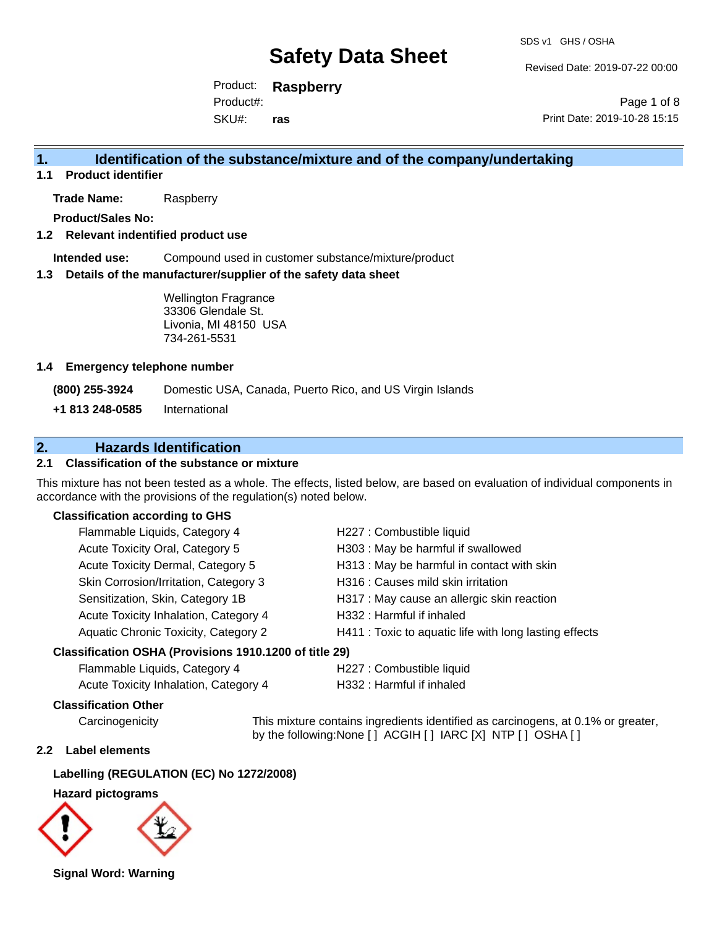SDS v1 GHS / OSHA

Revised Date: 2019-07-22 00:00

Product: **Raspberry** SKU#: Product#: **ras**

Page 1 of 8 Print Date: 2019-10-28 15:15

#### **1. Identification of the substance/mixture and of the company/undertaking**

**1.1 Product identifier**

**Trade Name:** Raspberry

**Product/Sales No:**

#### **1.2 Relevant indentified product use**

**Intended use:** Compound used in customer substance/mixture/product

#### **1.3 Details of the manufacturer/supplier of the safety data sheet**

Wellington Fragrance 33306 Glendale St. Livonia, MI 48150 USA 734-261-5531

#### **1.4 Emergency telephone number**

**(800) 255-3924** Domestic USA, Canada, Puerto Rico, and US Virgin Islands

**+1 813 248-0585** International

#### **2. Hazards Identification**

#### **2.1 Classification of the substance or mixture**

This mixture has not been tested as a whole. The effects, listed below, are based on evaluation of individual components in accordance with the provisions of the regulation(s) noted below.

#### **Classification according to GHS**

| Flammable Liquids, Category 4                                                                                                                 | H227 : Combustible liquid                              |
|-----------------------------------------------------------------------------------------------------------------------------------------------|--------------------------------------------------------|
| Acute Toxicity Oral, Category 5                                                                                                               | H303 : May be harmful if swallowed                     |
| Acute Toxicity Dermal, Category 5                                                                                                             | H313 : May be harmful in contact with skin             |
| Skin Corrosion/Irritation, Category 3                                                                                                         | H316 : Causes mild skin irritation                     |
| Sensitization, Skin, Category 1B                                                                                                              | H317 : May cause an allergic skin reaction             |
| Acute Toxicity Inhalation, Category 4                                                                                                         | H332: Harmful if inhaled                               |
| Aquatic Chronic Toxicity, Category 2                                                                                                          | H411 : Toxic to aquatic life with long lasting effects |
| $\mathbf{r}$ $\mathbf{r}$ $\mathbf{r}$ and $\mathbf{r}$ $\mathbf{r}$ $\mathbf{r}$ $\mathbf{r}$ and $\mathbf{r}$ $\mathbf{r}$ and $\mathbf{r}$ |                                                        |

#### **Classification OSHA (Provisions 1910.1200 of title 29)**

| Flammable Liquids, Category 4         | H227 : Combustible liquid |
|---------------------------------------|---------------------------|
| Acute Toxicity Inhalation, Category 4 | H332 : Harmful if inhaled |

H227 : Combustible liquid

#### **Classification Other**

Carcinogenicity This mixture contains ingredients identified as carcinogens, at 0.1% or greater, by the following:None [ ] ACGIH [ ] IARC [X] NTP [ ] OSHA [ ]

#### **2.2 Label elements**

#### **Labelling (REGULATION (EC) No 1272/2008)**

#### **Hazard pictograms**



**Signal Word: Warning**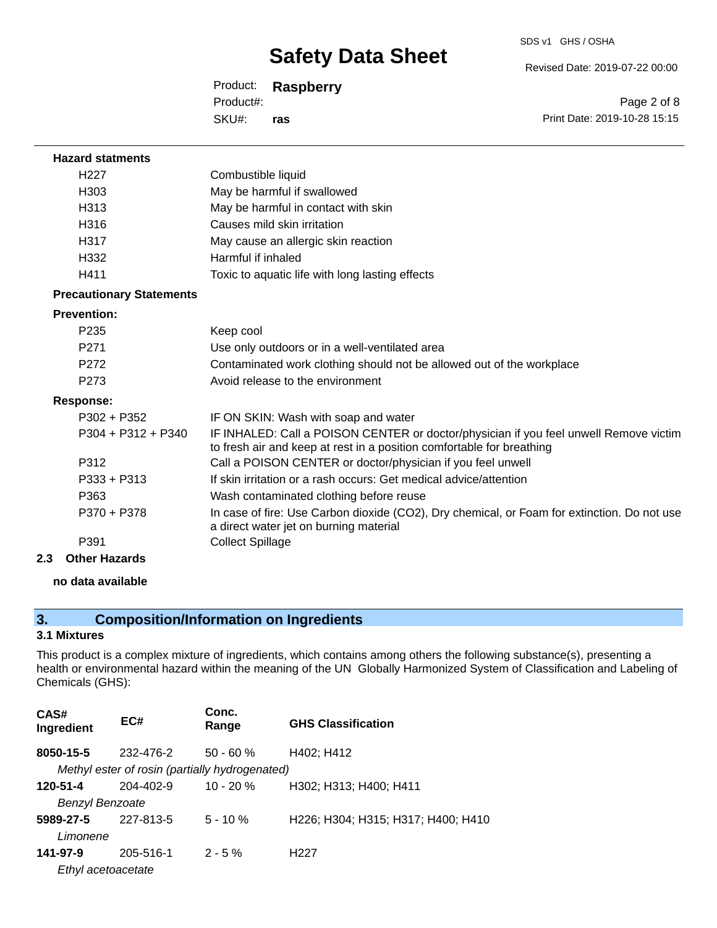Revised Date: 2019-07-22 00:00

Product: **Raspberry** SKU#: Product#: **ras**

Page 2 of 8 Print Date: 2019-10-28 15:15

| <b>Hazard statments</b>         |                                                                                                                                                                |
|---------------------------------|----------------------------------------------------------------------------------------------------------------------------------------------------------------|
| H <sub>22</sub> 7               | Combustible liquid                                                                                                                                             |
| H <sub>303</sub>                | May be harmful if swallowed                                                                                                                                    |
| H <sub>3</sub> 13               | May be harmful in contact with skin                                                                                                                            |
| H316                            | Causes mild skin irritation                                                                                                                                    |
| H317                            | May cause an allergic skin reaction                                                                                                                            |
| H332                            | Harmful if inhaled                                                                                                                                             |
| H411                            | Toxic to aquatic life with long lasting effects                                                                                                                |
| <b>Precautionary Statements</b> |                                                                                                                                                                |
| <b>Prevention:</b>              |                                                                                                                                                                |
| P <sub>235</sub>                | Keep cool                                                                                                                                                      |
| P <sub>271</sub>                | Use only outdoors or in a well-ventilated area                                                                                                                 |
| P <sub>272</sub>                | Contaminated work clothing should not be allowed out of the workplace                                                                                          |
| P <sub>273</sub>                | Avoid release to the environment                                                                                                                               |
| <b>Response:</b>                |                                                                                                                                                                |
| P302 + P352                     | IF ON SKIN: Wash with soap and water                                                                                                                           |
| $P304 + P312 + P340$            | IF INHALED: Call a POISON CENTER or doctor/physician if you feel unwell Remove victim<br>to fresh air and keep at rest in a position comfortable for breathing |
| P312                            | Call a POISON CENTER or doctor/physician if you feel unwell                                                                                                    |
| $P333 + P313$                   | If skin irritation or a rash occurs: Get medical advice/attention                                                                                              |
| P363                            | Wash contaminated clothing before reuse                                                                                                                        |
| P370 + P378                     | In case of fire: Use Carbon dioxide (CO2), Dry chemical, or Foam for extinction. Do not use<br>a direct water jet on burning material                          |
| P391                            | <b>Collect Spillage</b>                                                                                                                                        |
|                                 |                                                                                                                                                                |

**2.3 Other Hazards**

#### **no data available**

### **3. Composition/Information on Ingredients**

#### **3.1 Mixtures**

This product is a complex mixture of ingredients, which contains among others the following substance(s), presenting a health or environmental hazard within the meaning of the UN Globally Harmonized System of Classification and Labeling of Chemicals (GHS):

| CAS#<br>Ingredient     | EC#                                            | Conc.<br>Range | <b>GHS Classification</b>          |
|------------------------|------------------------------------------------|----------------|------------------------------------|
| 8050-15-5              | 232-476-2                                      | $50 - 60 \%$   | H402; H412                         |
|                        | Methyl ester of rosin (partially hydrogenated) |                |                                    |
| 120-51-4               | $204 - 402 - 9$                                | $10 - 20%$     | H302; H313; H400; H411             |
| <b>Benzyl Benzoate</b> |                                                |                |                                    |
| 5989-27-5              | 227-813-5                                      | $5 - 10 \%$    | H226; H304; H315; H317; H400; H410 |
| Limonene               |                                                |                |                                    |
| 141-97-9               | 205-516-1                                      | $2 - 5%$       | H <sub>22</sub> 7                  |
| Ethyl acetoacetate     |                                                |                |                                    |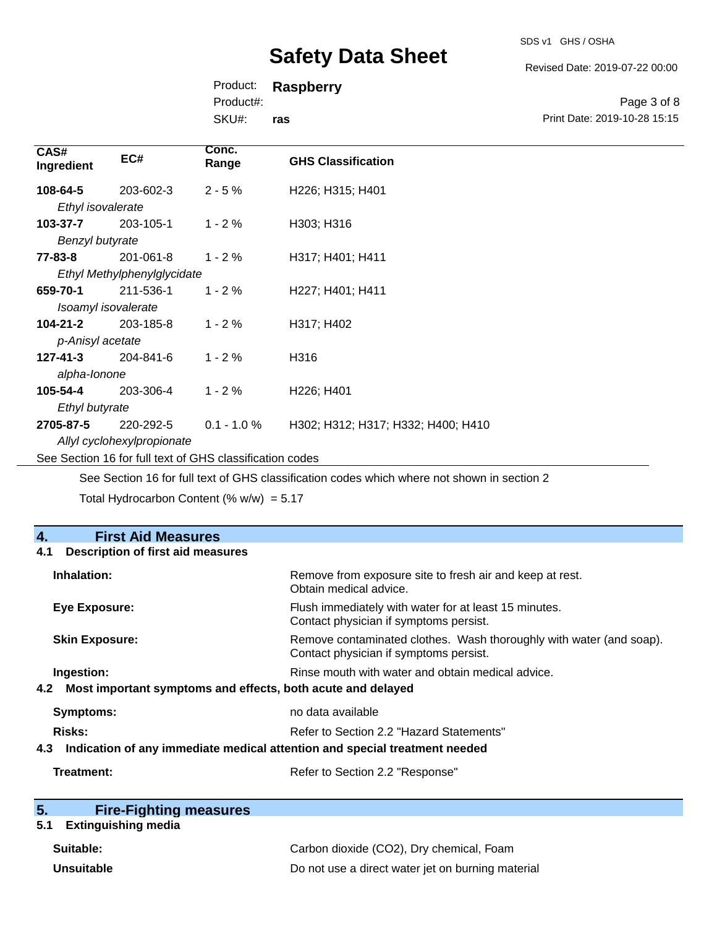SDS v1 GHS / OSHA

Revised Date: 2019-07-22 00:00

Print Date: 2019-10-28 15:15

Page 3 of 8

Product: **Raspberry**

Product#:

SKU#: **ras**

| CAS#<br>Ingredient                                       | EC#       | Conc.<br>Range | <b>GHS Classification</b>          |
|----------------------------------------------------------|-----------|----------------|------------------------------------|
| 108-64-5                                                 | 203-602-3 | $2 - 5%$       | H226; H315; H401                   |
| Ethyl isovalerate                                        |           |                |                                    |
| 103-37-7                                                 | 203-105-1 | $1 - 2%$       | H303; H316                         |
| Benzyl butyrate                                          |           |                |                                    |
| 77-83-8                                                  | 201-061-8 | $1 - 2%$       | H317; H401; H411                   |
| Ethyl Methylphenylglycidate                              |           |                |                                    |
| 659-70-1                                                 | 211-536-1 | $1 - 2%$       | H227; H401; H411                   |
| Isoamyl isovalerate                                      |           |                |                                    |
| $104 - 21 - 2$                                           | 203-185-8 | $1 - 2%$       | H317; H402                         |
| p-Anisyl acetate                                         |           |                |                                    |
| $127 - 41 - 3$                                           | 204-841-6 | $1 - 2%$       | H316                               |
| alpha-lonone                                             |           |                |                                    |
| 105-54-4                                                 | 203-306-4 | $1 - 2%$       | H226; H401                         |
| Ethyl butyrate                                           |           |                |                                    |
| 2705-87-5                                                | 220-292-5 | $0.1 - 1.0 \%$ | H302; H312; H317; H332; H400; H410 |
| Allyl cyclohexylpropionate                               |           |                |                                    |
| See Section 16 for full text of GHS classification codes |           |                |                                    |

See Section 16 for full text of GHS classification codes which where not shown in section 2

Total Hydrocarbon Content (%  $w/w$ ) = 5.17

| 4.<br><b>First Aid Measures</b>                                                   |                                                                                                               |  |
|-----------------------------------------------------------------------------------|---------------------------------------------------------------------------------------------------------------|--|
| <b>Description of first aid measures</b><br>4.1                                   |                                                                                                               |  |
| Inhalation:                                                                       | Remove from exposure site to fresh air and keep at rest.<br>Obtain medical advice.                            |  |
| <b>Eye Exposure:</b>                                                              | Flush immediately with water for at least 15 minutes.<br>Contact physician if symptoms persist.               |  |
| <b>Skin Exposure:</b>                                                             | Remove contaminated clothes. Wash thoroughly with water (and soap).<br>Contact physician if symptoms persist. |  |
| Ingestion:                                                                        | Rinse mouth with water and obtain medical advice.                                                             |  |
| Most important symptoms and effects, both acute and delayed<br>4.2                |                                                                                                               |  |
| Symptoms:                                                                         | no data available                                                                                             |  |
| <b>Risks:</b>                                                                     | Refer to Section 2.2 "Hazard Statements"                                                                      |  |
| Indication of any immediate medical attention and special treatment needed<br>4.3 |                                                                                                               |  |
| Treatment:                                                                        | Refer to Section 2.2 "Response"                                                                               |  |

| 5. | <b>Fire-Fighting measures</b> |
|----|-------------------------------|
|    |                               |

### **5.1 Extinguishing media**

| Suitable:         | Carbon dioxide (CO2), Dry chemical, Foam          |
|-------------------|---------------------------------------------------|
| <b>Unsuitable</b> | Do not use a direct water jet on burning material |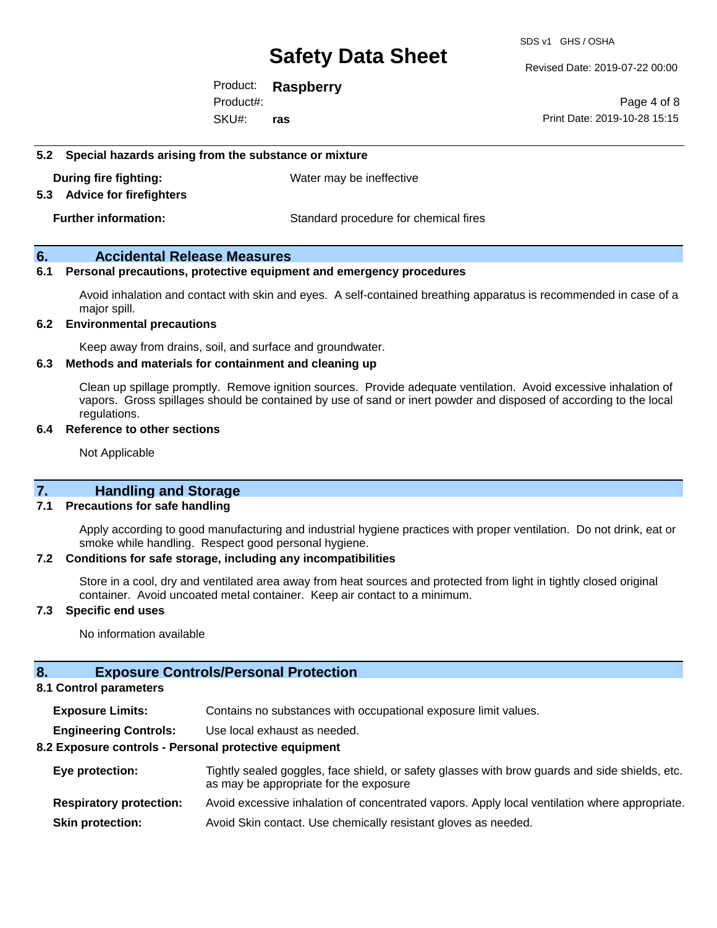Revised Date: 2019-07-22 00:00

Product: **Raspberry** SKU#: Product#: **ras**

Page 4 of 8 Print Date: 2019-10-28 15:15

#### **5.2 Special hazards arising from the substance or mixture**

**During fire fighting:** Water may be ineffective

#### **5.3 Advice for firefighters**

**Further information:** Standard procedure for chemical fires

#### **6. Accidental Release Measures**

#### **6.1 Personal precautions, protective equipment and emergency procedures**

Avoid inhalation and contact with skin and eyes. A self-contained breathing apparatus is recommended in case of a major spill.

#### **6.2 Environmental precautions**

Keep away from drains, soil, and surface and groundwater.

#### **6.3 Methods and materials for containment and cleaning up**

Clean up spillage promptly. Remove ignition sources. Provide adequate ventilation. Avoid excessive inhalation of vapors. Gross spillages should be contained by use of sand or inert powder and disposed of according to the local regulations.

#### **6.4 Reference to other sections**

Not Applicable

#### **7. Handling and Storage**

#### **7.1 Precautions for safe handling**

Apply according to good manufacturing and industrial hygiene practices with proper ventilation. Do not drink, eat or smoke while handling. Respect good personal hygiene.

#### **7.2 Conditions for safe storage, including any incompatibilities**

Store in a cool, dry and ventilated area away from heat sources and protected from light in tightly closed original container. Avoid uncoated metal container. Keep air contact to a minimum.

#### **7.3 Specific end uses**

No information available

#### **8. Exposure Controls/Personal Protection**

#### **8.1 Control parameters**

**Exposure Limits:** Contains no substances with occupational exposure limit values.

**Engineering Controls:** Use local exhaust as needed.

#### **8.2 Exposure controls - Personal protective equipment**

| Eye protection:                | Tightly sealed goggles, face shield, or safety glasses with brow guards and side shields, etc.<br>as may be appropriate for the exposure |
|--------------------------------|------------------------------------------------------------------------------------------------------------------------------------------|
| <b>Respiratory protection:</b> | Avoid excessive inhalation of concentrated vapors. Apply local ventilation where appropriate.                                            |
| <b>Skin protection:</b>        | Avoid Skin contact. Use chemically resistant gloves as needed.                                                                           |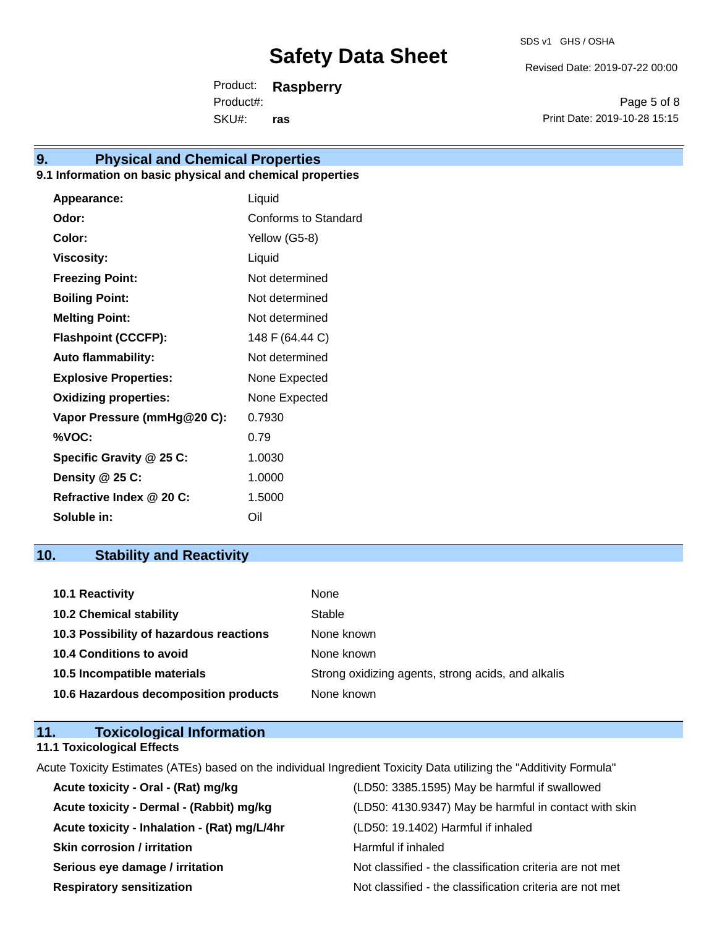Revised Date: 2019-07-22 00:00

Product: **Raspberry** SKU#: Product#: **ras**

Page 5 of 8 Print Date: 2019-10-28 15:15

### **9. Physical and Chemical Properties**

#### **9.1 Information on basic physical and chemical properties**

| Appearance:                  | Liquid               |
|------------------------------|----------------------|
| Odor:                        | Conforms to Standard |
| Color:                       | Yellow (G5-8)        |
| <b>Viscosity:</b>            | Liquid               |
| <b>Freezing Point:</b>       | Not determined       |
| <b>Boiling Point:</b>        | Not determined       |
| <b>Melting Point:</b>        | Not determined       |
| <b>Flashpoint (CCCFP):</b>   | 148 F (64.44 C)      |
| <b>Auto flammability:</b>    | Not determined       |
| <b>Explosive Properties:</b> | None Expected        |
| <b>Oxidizing properties:</b> | None Expected        |
| Vapor Pressure (mmHg@20 C):  | 0.7930               |
| %VOC:                        | 0.79                 |
| Specific Gravity @ 25 C:     | 1.0030               |
| Density @ 25 C:              | 1.0000               |
| Refractive Index @ 20 C:     | 1.5000               |
| Soluble in:                  | Oil                  |

### **10. Stability and Reactivity**

| <b>10.1 Reactivity</b>                  | None                                               |
|-----------------------------------------|----------------------------------------------------|
| <b>10.2 Chemical stability</b>          | Stable                                             |
| 10.3 Possibility of hazardous reactions | None known                                         |
| <b>10.4 Conditions to avoid</b>         | None known                                         |
| 10.5 Incompatible materials             | Strong oxidizing agents, strong acids, and alkalis |
| 10.6 Hazardous decomposition products   | None known                                         |

### **11. Toxicological Information**

#### **11.1 Toxicological Effects**

Acute Toxicity Estimates (ATEs) based on the individual Ingredient Toxicity Data utilizing the "Additivity Formula"

| Acute toxicity - Oral - (Rat) mg/kg          | (LD50: 3385.1595) May be harmful if swallowed            |
|----------------------------------------------|----------------------------------------------------------|
| Acute toxicity - Dermal - (Rabbit) mg/kg     | (LD50: 4130.9347) May be harmful in contact with skin    |
| Acute toxicity - Inhalation - (Rat) mg/L/4hr | (LD50: 19.1402) Harmful if inhaled                       |
| <b>Skin corrosion / irritation</b>           | Harmful if inhaled                                       |
| Serious eye damage / irritation              | Not classified - the classification criteria are not met |
| <b>Respiratory sensitization</b>             | Not classified - the classification criteria are not met |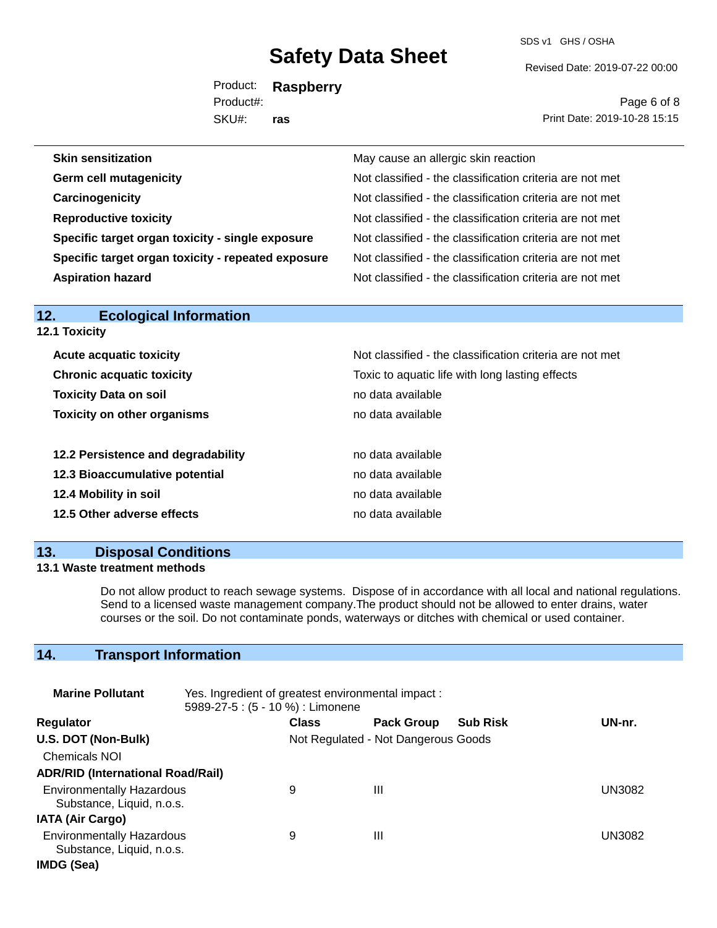SDS v1 GHS / OSHA

Revised Date: 2019-07-22 00:00

Product: **Raspberry** SKU#: Product#: **ras**

Page 6 of 8 Print Date: 2019-10-28 15:15

| <b>Skin sensitization</b>                          | May cause an allergic skin reaction                      |
|----------------------------------------------------|----------------------------------------------------------|
| <b>Germ cell mutagenicity</b>                      | Not classified - the classification criteria are not met |
| Carcinogenicity                                    | Not classified - the classification criteria are not met |
| <b>Reproductive toxicity</b>                       | Not classified - the classification criteria are not met |
| Specific target organ toxicity - single exposure   | Not classified - the classification criteria are not met |
| Specific target organ toxicity - repeated exposure | Not classified - the classification criteria are not met |
| <b>Aspiration hazard</b>                           | Not classified - the classification criteria are not met |

| .<br>EUUIUGIUGI IIIIUI IIIGGUI<br><b>12.1 Toxicity</b> |                                                          |
|--------------------------------------------------------|----------------------------------------------------------|
| <b>Acute acquatic toxicity</b>                         | Not classified - the classification criteria are not met |
| <b>Chronic acquatic toxicity</b>                       | Toxic to aquatic life with long lasting effects          |
| <b>Toxicity Data on soil</b>                           | no data available                                        |
| <b>Toxicity on other organisms</b>                     | no data available                                        |
| 12.2 Persistence and degradability                     | no data available                                        |
| 12.3 Bioaccumulative potential                         | no data available                                        |
| 12.4 Mobility in soil                                  | no data available                                        |
| 12.5 Other adverse effects                             | no data available                                        |

#### **13. Disposal Conditions**

**12. Ecological Information** 

#### **13.1 Waste treatment methods**

Do not allow product to reach sewage systems. Dispose of in accordance with all local and national regulations. Send to a licensed waste management company.The product should not be allowed to enter drains, water courses or the soil. Do not contaminate ponds, waterways or ditches with chemical or used container.

### **14. Transport Information**

| <b>Marine Pollutant</b>                                       | Yes. Ingredient of greatest environmental impact:<br>5989-27-5 : (5 - 10 %) : Limonene |              |                                     |                 |        |
|---------------------------------------------------------------|----------------------------------------------------------------------------------------|--------------|-------------------------------------|-----------------|--------|
| Regulator                                                     |                                                                                        | <b>Class</b> | <b>Pack Group</b>                   | <b>Sub Risk</b> | UN-nr. |
| U.S. DOT (Non-Bulk)                                           |                                                                                        |              | Not Regulated - Not Dangerous Goods |                 |        |
| <b>Chemicals NOI</b>                                          |                                                                                        |              |                                     |                 |        |
| <b>ADR/RID (International Road/Rail)</b>                      |                                                                                        |              |                                     |                 |        |
| <b>Environmentally Hazardous</b><br>Substance, Liquid, n.o.s. |                                                                                        | 9            | Ш                                   |                 | UN3082 |
| <b>IATA (Air Cargo)</b>                                       |                                                                                        |              |                                     |                 |        |
| <b>Environmentally Hazardous</b><br>Substance, Liquid, n.o.s. |                                                                                        | 9            | Ш                                   |                 | UN3082 |
| IMDG (Sea)                                                    |                                                                                        |              |                                     |                 |        |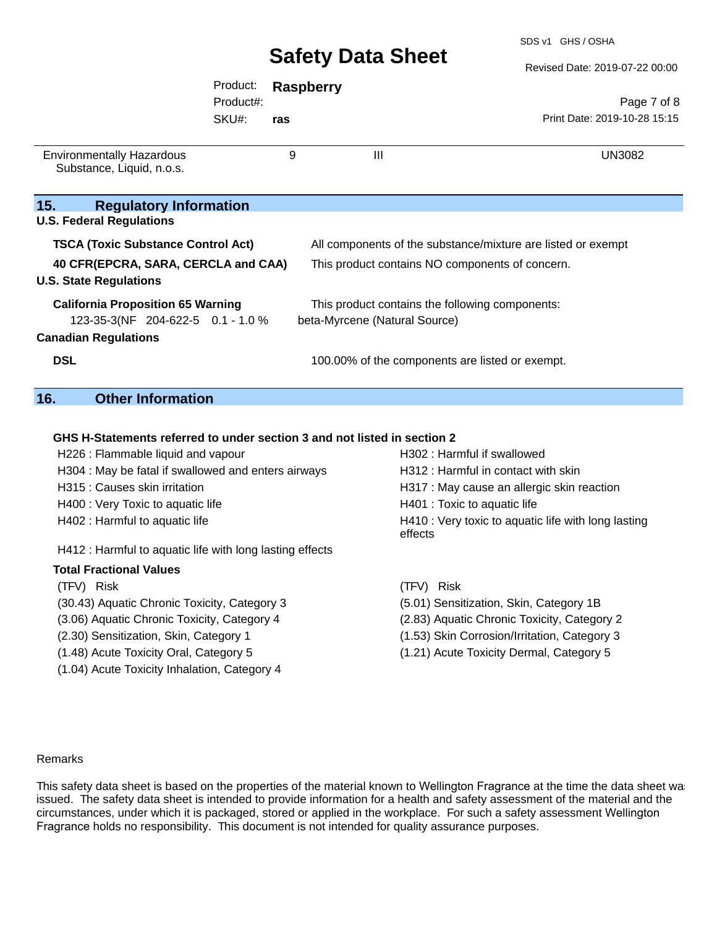Revised Date: 2019-07-22 00:00

|                                                               |           |                  |                                                              | Revised Date: 2019-07-22 00:00 |  |
|---------------------------------------------------------------|-----------|------------------|--------------------------------------------------------------|--------------------------------|--|
|                                                               | Product:  | <b>Raspberry</b> |                                                              |                                |  |
|                                                               | Product#: |                  |                                                              | Page 7 of 8                    |  |
|                                                               | SKU#:     | ras              |                                                              | Print Date: 2019-10-28 15:15   |  |
| <b>Environmentally Hazardous</b><br>Substance, Liquid, n.o.s. |           | 9                | $\mathbf{III}$                                               | UN3082                         |  |
| 15.<br><b>Regulatory Information</b>                          |           |                  |                                                              |                                |  |
| <b>U.S. Federal Regulations</b>                               |           |                  |                                                              |                                |  |
| <b>TSCA (Toxic Substance Control Act)</b>                     |           |                  | All components of the substance/mixture are listed or exempt |                                |  |
| 40 CFR(EPCRA, SARA, CERCLA and CAA)                           |           |                  | This product contains NO components of concern.              |                                |  |
| <b>U.S. State Regulations</b>                                 |           |                  |                                                              |                                |  |
| <b>California Proposition 65 Warning</b>                      |           |                  | This product contains the following components:              |                                |  |
| 123-35-3(NF 204-622-5 0.1 - 1.0 %                             |           |                  | beta-Myrcene (Natural Source)                                |                                |  |
| <b>Canadian Regulations</b>                                   |           |                  |                                                              |                                |  |
| <b>DSL</b>                                                    |           |                  | 100.00% of the components are listed or exempt.              |                                |  |
| <b>Other Information</b><br>16.                               |           |                  |                                                              |                                |  |

#### **GHS H-Statements referred to under section 3 and not listed in section 2**

| H302: Harmful if swallowed                                     |
|----------------------------------------------------------------|
| H312 : Harmful in contact with skin                            |
| H317 : May cause an allergic skin reaction                     |
| H401 : Toxic to aquatic life                                   |
| H410 : Very toxic to aquatic life with long lasting<br>effects |
|                                                                |
|                                                                |
| (TFV) Risk                                                     |
| (5.01) Sensitization, Skin, Category 1B                        |
| (2.83) Aquatic Chronic Toxicity, Category 2                    |
|                                                                |

- (2.30) Sensitization, Skin, Category 1 (1.53) Skin Corrosion/Irritation, Category 3
- 
- (1.04) Acute Toxicity Inhalation, Category 4
- (1.48) Acute Toxicity Oral, Category 5 (1.21) Acute Toxicity Dermal, Category 5

#### Remarks

**15.** 

**16.** 

This safety data sheet is based on the properties of the material known to Wellington Fragrance at the time the data sheet was issued. The safety data sheet is intended to provide information for a health and safety assessment of the material and the circumstances, under which it is packaged, stored or applied in the workplace. For such a safety assessment Wellington Fragrance holds no responsibility. This document is not intended for quality assurance purposes.